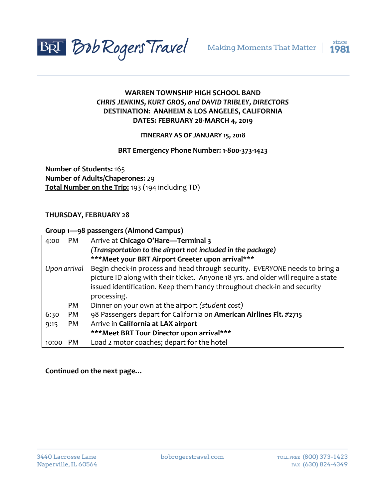



# **WARREN TOWNSHIP HIGH SCHOOL BAND** *CHRIS JENKINS, KURT GROS, and DAVID TRIBLEY, DIRECTORS* **DESTINATION: ANAHEIM & LOS ANGELES, CALIFORNIA DATES: FEBRUARY 28-MARCH 4, 2019**

## **ITINERARY AS OF JANUARY 15, 2018**

# **BRT Emergency Phone Number: 1-800-373-1423**

**Number of Students:** 165 **Number of Adults/Chaperones:** 29 **Total Number on the Trip:** 193 (194 including TD)

### **THURSDAY, FEBRUARY 28**

### **Group 1—98 passengers (Almond Campus)**

| 4:00         | PM  | Arrive at Chicago O'Hare-Terminal 3                                               |
|--------------|-----|-----------------------------------------------------------------------------------|
|              |     | (Transportation to the airport not included in the package)                       |
|              |     | *** Meet your BRT Airport Greeter upon arrival***                                 |
| Upon arrival |     | Begin check-in process and head through security. EVERYONE needs to bring a       |
|              |     | picture ID along with their ticket. Anyone 18 yrs. and older will require a state |
|              |     | issued identification. Keep them handy throughout check-in and security           |
|              |     | processing.                                                                       |
|              | PM  | Dinner on your own at the airport (student cost)                                  |
| 6:30         | PM  | 98 Passengers depart for California on American Airlines Flt. #2715               |
| 9:15         | PM  | Arrive in California at LAX airport                                               |
|              |     | *** Meet BRT Tour Director upon arrival***                                        |
| 10:00        | PM. | Load 2 motor coaches; depart for the hotel                                        |

### **Continued on the next page…**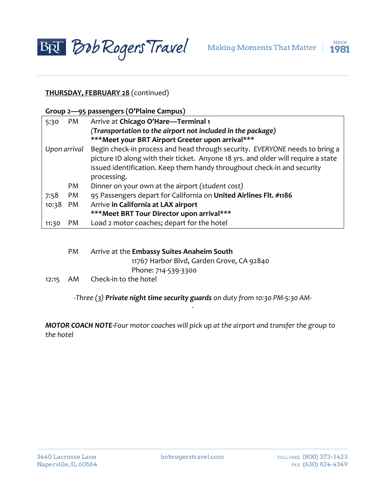



## **THURSDAY, FEBRUARY 28** (continued)

#### **Group 2—95 passengers (O'Plaine Campus)**

| 5:30         | PM  | Arrive at Chicago O'Hare-Terminal 1                                               |
|--------------|-----|-----------------------------------------------------------------------------------|
|              |     | (Transportation to the airport not included in the package)                       |
|              |     | *** Meet your BRT Airport Greeter upon arrival***                                 |
| Upon arrival |     | Begin check-in process and head through security. EVERYONE needs to bring a       |
|              |     | picture ID along with their ticket. Anyone 18 yrs. and older will require a state |
|              |     | issued identification. Keep them handy throughout check-in and security           |
|              |     | processing.                                                                       |
|              | PM  | Dinner on your own at the airport (student cost)                                  |
| 7:58         | PM  | 95 Passengers depart for California on United Airlines Flt. #1186                 |
| 10:38        | PM  | Arrive in California at LAX airport                                               |
|              |     | *** Meet BRT Tour Director upon arrival***                                        |
| 11:30        | PM. | Load 2 motor coaches; depart for the hotel                                        |

PM Arrive at the **Embassy Suites Anaheim South** 11767 Harbor Blvd, Garden Grove, CA 92840 Phone: 714-539-3300 12:15 AM Check-in to the hotel

> *-Three (3) Private night time security guards on duty from 10:30 PM-5:30 AM-* -

*MOTOR COACH NOTE-Four motor coaches will pick up at the airport and transfer the group to the hotel*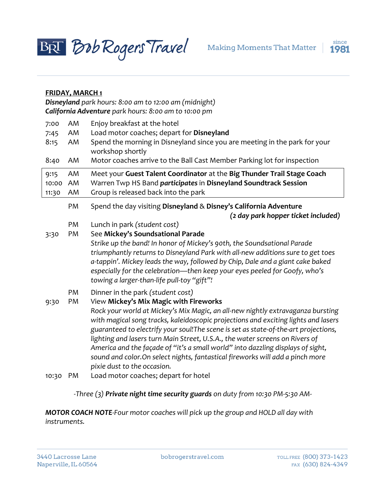



# **FRIDAY, MARCH 1**

*Disneyland park hours: 8:00 am to 12:00 am (midnight) California Adventure park hours: 8:00 am to 10:00 pm*

| 7:00<br>7:45<br>8:15<br>8:40 | AM<br>AM<br>AM<br>AM | Enjoy breakfast at the hotel<br>Load motor coaches; depart for Disneyland<br>Spend the morning in Disneyland since you are meeting in the park for your<br>workshop shortly<br>Motor coaches arrive to the Ball Cast Member Parking lot for inspection                                                                                                                                                                                                                                                                                                                                                                                                                   |
|------------------------------|----------------------|--------------------------------------------------------------------------------------------------------------------------------------------------------------------------------------------------------------------------------------------------------------------------------------------------------------------------------------------------------------------------------------------------------------------------------------------------------------------------------------------------------------------------------------------------------------------------------------------------------------------------------------------------------------------------|
| 9:15<br>10:00<br>11:30       | AM<br>AM<br>AM       | Meet your Guest Talent Coordinator at the Big Thunder Trail Stage Coach<br>Warren Twp HS Band participates in Disneyland Soundtrack Session<br>Group is released back into the park                                                                                                                                                                                                                                                                                                                                                                                                                                                                                      |
| 3:30                         | PM<br>PM<br>PM       | Spend the day visiting Disneyland & Disney's California Adventure<br>(2 day park hopper ticket included)<br>Lunch in park (student cost)<br>See Mickey's Soundsational Parade<br>Strike up the band! In honor of Mickey's 90th, the Soundsational Parade<br>triumphantly returns to Disneyland Park with all-new additions sure to get toes<br>a-tappin'. Mickey leads the way, followed by Chip, Dale and a giant cake baked<br>especially for the celebration-then keep your eyes peeled for Goofy, who's<br>towing a larger-than-life pull-toy "gift"!                                                                                                                |
| 9:30<br>10:30                | PM<br>PM<br>PM       | Dinner in the park (student cost)<br>View Mickey's Mix Magic with Fireworks<br>Rock your world at Mickey's Mix Magic, an all-new nightly extravaganza bursting<br>with magical song tracks, kaleidoscopic projections and exciting lights and lasers<br>guaranteed to electrify your soul! The scene is set as state-of-the-art projections,<br>lighting and lasers turn Main Street, U.S.A., the water screens on Rivers of<br>America and the façade of "it's a small world" into dazzling displays of sight,<br>sound and color. On select nights, fantastical fireworks will add a pinch more<br>pixie dust to the occasion.<br>Load motor coaches; depart for hotel |

*-Three (3) Private night time security guards on duty from 10:30 PM-5:30 AM-*

*MOTOR COACH NOTE-Four motor coaches will pick up the group and HOLD all day with instruments.*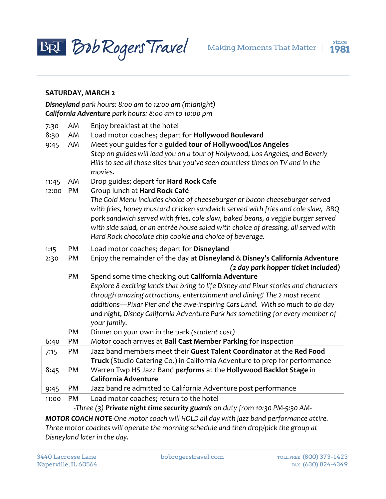



# **SATURDAY, MARCH 2**

*Disneyland park hours: 8:00 am to 12:00 am (midnight) California Adventure park hours: 8:00 am to 10:00 pm*

| 7:30  | AM | Enjoy breakfast at the hotel                                                                                                                                       |
|-------|----|--------------------------------------------------------------------------------------------------------------------------------------------------------------------|
| 8:30  | AM | Load motor coaches; depart for Hollywood Boulevard                                                                                                                 |
| 9:45  | AM | Meet your guides for a guided tour of Hollywood/Los Angeles                                                                                                        |
|       |    | Step on guides will lead you on a tour of Hollywood, Los Angeles, and Beverly                                                                                      |
|       |    | Hills to see all those sites that you've seen countless times on TV and in the                                                                                     |
|       |    | movies.                                                                                                                                                            |
| 11:45 | AM | Drop guides; depart for Hard Rock Cafe                                                                                                                             |
| 12:00 | PM | Group lunch at Hard Rock Café                                                                                                                                      |
|       |    | The Gold Menu includes choice of cheeseburger or bacon cheeseburger served                                                                                         |
|       |    | with fries, honey mustard chicken sandwich served with fries and cole slaw, BBQ<br>pork sandwich served with fries, cole slaw, baked beans, a veggie burger served |
|       |    | with side salad, or an entrée house salad with choice of dressing, all served with                                                                                 |
|       |    | Hard Rock chocolate chip cookie and choice of beverage.                                                                                                            |
|       |    |                                                                                                                                                                    |
| 1:15  | PM | Load motor coaches; depart for Disneyland                                                                                                                          |
| 2:30  | PM | Enjoy the remainder of the day at Disneyland & Disney's California Adventure<br>(2 day park hopper ticket included)                                                |
|       | PM | Spend some time checking out California Adventure                                                                                                                  |
|       |    | Explore 8 exciting lands that bring to life Disney and Pixar stories and characters                                                                                |
|       |    | through amazing attractions, entertainment and dining! The 2 most recent                                                                                           |
|       |    | additions-Pixar Pier and the awe-inspiring Cars Land. With so much to do day                                                                                       |
|       |    | and night, Disney California Adventure Park has something for every member of                                                                                      |
|       |    | your family.                                                                                                                                                       |
|       | PM | Dinner on your own in the park (student cost)                                                                                                                      |
| 6:40  | PM | Motor coach arrives at Ball Cast Member Parking for inspection                                                                                                     |
| 7:15  | PM | Jazz band members meet their Guest Talent Coordinator at the Red Food                                                                                              |
|       |    | Truck (Studio Catering Co.) in California Adventure to prep for performance                                                                                        |
| 8:45  | PM | Warren Twp HS Jazz Band performs at the Hollywood Backlot Stage in                                                                                                 |
|       |    | <b>California Adventure</b>                                                                                                                                        |
| 9:45  | PM | Jazz band re admitted to California Adventure post performance                                                                                                     |
| 11:00 | PM | Load motor coaches; return to the hotel                                                                                                                            |
|       |    | -Three (3) Private night time security guards on duty from 10:30 PM-5:30 AM-                                                                                       |

*MOTOR COACH NOTE-One motor coach will HOLD all day with jazz band performance attire. Three motor coaches will operate the morning schedule and then drop/pick the group at Disneyland later in the day.*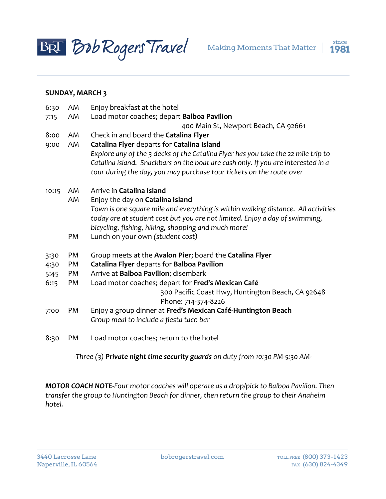



# **SUNDAY, MARCH 3**

| 6:30  | AM | Enjoy breakfast at the hotel                                                      |
|-------|----|-----------------------------------------------------------------------------------|
| 7:15  | AM | Load motor coaches; depart Balboa Pavilion                                        |
|       |    | 400 Main St, Newport Beach, CA 92661                                              |
| 8:00  | AM | Check in and board the Catalina Flyer                                             |
| 9:00  | AM | Catalina Flyer departs for Catalina Island                                        |
|       |    | Explore any of the 3 decks of the Catalina Flyer has you take the 22 mile trip to |
|       |    | Catalina Island. Snackbars on the boat are cash only. If you are interested in a  |
|       |    | tour during the day, you may purchase tour tickets on the route over              |
| 10:15 | AM | Arrive in Catalina Island                                                         |
|       | AM | Enjoy the day on Catalina Island                                                  |
|       |    | Town is one square mile and everything is within walking distance. All activities |
|       |    | today are at student cost but you are not limited. Enjoy a day of swimming,       |
|       |    | bicycling, fishing, hiking, shopping and much more!                               |
|       | PM | Lunch on your own (student cost)                                                  |
| 3:30  | PM | Group meets at the Avalon Pier; board the Catalina Flyer                          |
| 4:30  | PM | Catalina Flyer departs for Balboa Pavilion                                        |
| 5:45  | PM | Arrive at Balboa Pavilion; disembark                                              |
| 6:15  | PM | Load motor coaches; depart for Fred's Mexican Café                                |
|       |    | 300 Pacific Coast Hwy, Huntington Beach, CA 92648                                 |
|       |    | Phone: 714-374-8226                                                               |
| 7:00  | PM | Enjoy a group dinner at Fred's Mexican Café-Huntington Beach                      |
|       |    | Group meal to include a fiesta taco bar                                           |
| 8:30  | PM | Load motor coaches; return to the hotel                                           |

*-Three (3) Private night time security guards on duty from 10:30 PM-5:30 AM-*

*MOTOR COACH NOTE-Four motor coaches will operate as a drop/pick to Balboa Pavilion. Then transfer the group to Huntington Beach for dinner, then return the group to their Anaheim hotel.*